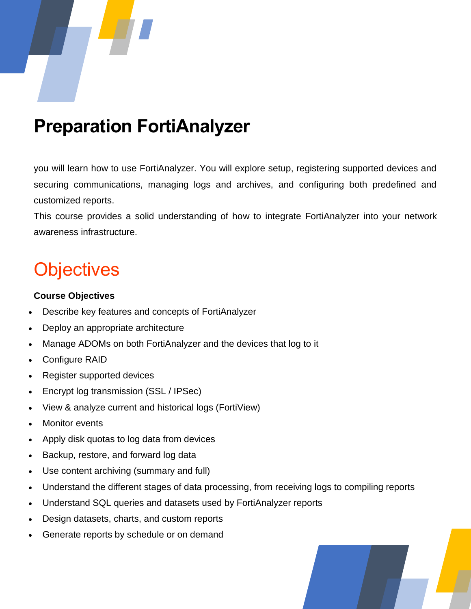

### **Preparation FortiAnalyzer**

you will learn how to use FortiAnalyzer. You will explore setup, registering supported devices and securing communications, managing logs and archives, and configuring both predefined and customized reports.

This course provides a solid understanding of how to integrate FortiAnalyzer into your network awareness infrastructure.

### **Objectives**

#### **Course Objectives**

- Describe key features and concepts of FortiAnalyzer
- Deploy an appropriate architecture
- Manage ADOMs on both FortiAnalyzer and the devices that log to it
- Configure RAID
- Register supported devices
- Encrypt log transmission (SSL / IPSec)
- View & analyze current and historical logs (FortiView)
- Monitor events
- Apply disk quotas to log data from devices
- Backup, restore, and forward log data
- Use content archiving (summary and full)
- Understand the different stages of data processing, from receiving logs to compiling reports
- Understand SQL queries and datasets used by FortiAnalyzer reports
- Design datasets, charts, and custom reports
- Generate reports by schedule or on demand